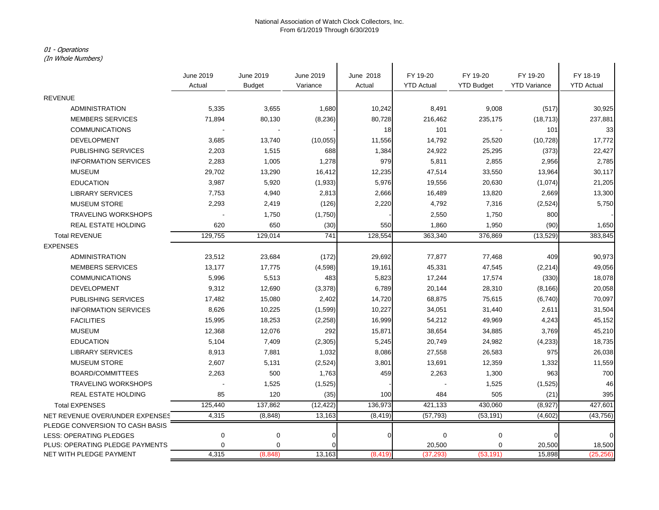## 01 - Operations

(In Whole Numbers)

| (In whole Numbers)              |             |               |           |           |                   |                   |                     |                   |
|---------------------------------|-------------|---------------|-----------|-----------|-------------------|-------------------|---------------------|-------------------|
|                                 | June 2019   | June 2019     | June 2019 | June 2018 | FY 19-20          | FY 19-20          | FY 19-20            | FY 18-19          |
|                                 | Actual      | <b>Budget</b> | Variance  | Actual    | <b>YTD Actual</b> | <b>YTD Budget</b> | <b>YTD Variance</b> | <b>YTD Actual</b> |
| <b>REVENUE</b>                  |             |               |           |           |                   |                   |                     |                   |
| <b>ADMINISTRATION</b>           | 5,335       | 3,655         | 1,680     | 10,242    | 8,491             | 9,008             | (517)               | 30,925            |
| <b>MEMBERS SERVICES</b>         | 71,894      | 80,130        | (8, 236)  | 80,728    | 216,462           | 235,175           | (18, 713)           | 237,881           |
| <b>COMMUNICATIONS</b>           |             |               |           | 18        | 101               |                   | 101                 | 33                |
| <b>DEVELOPMENT</b>              | 3,685       | 13,740        | (10, 055) | 11,556    | 14,792            | 25,520            | (10, 728)           | 17,772            |
| <b>PUBLISHING SERVICES</b>      | 2,203       | 1,515         | 688       | 1,384     | 24,922            | 25,295            | (373)               | 22,427            |
| <b>INFORMATION SERVICES</b>     | 2,283       | 1,005         | 1,278     | 979       | 5,811             | 2,855             | 2,956               | 2,785             |
| <b>MUSEUM</b>                   | 29,702      | 13,290        | 16,412    | 12,235    | 47,514            | 33,550            | 13,964              | 30,117            |
| <b>EDUCATION</b>                | 3,987       | 5,920         | (1,933)   | 5,976     | 19,556            | 20,630            | (1,074)             | 21,205            |
| <b>LIBRARY SERVICES</b>         | 7,753       | 4,940         | 2,813     | 2,666     | 16,489            | 13,820            | 2,669               | 13,300            |
| <b>MUSEUM STORE</b>             | 2,293       | 2,419         | (126)     | 2,220     | 4,792             | 7,316             | (2,524)             | 5,750             |
| <b>TRAVELING WORKSHOPS</b>      |             | 1,750         | (1,750)   |           | 2,550             | 1,750             | 800                 |                   |
| REAL ESTATE HOLDING             | 620         | 650           | (30)      | 550       | 1,860             | 1,950             | (90)                | 1,650             |
| <b>Total REVENUE</b>            | 129,755     | 129,014       | 741       | 128,554   | 363,340           | 376,869           | (13, 529)           | 383,845           |
| <b>EXPENSES</b>                 |             |               |           |           |                   |                   |                     |                   |
| <b>ADMINISTRATION</b>           | 23,512      | 23,684        | (172)     | 29,692    | 77,877            | 77,468            | 409                 | 90,973            |
| <b>MEMBERS SERVICES</b>         | 13,177      | 17,775        | (4, 598)  | 19,161    | 45,331            | 47,545            | (2, 214)            | 49,056            |
| <b>COMMUNICATIONS</b>           | 5,996       | 5,513         | 483       | 5,823     | 17,244            | 17,574            | (330)               | 18,078            |
| <b>DEVELOPMENT</b>              | 9,312       | 12,690        | (3,378)   | 6,789     | 20,144            | 28,310            | (8, 166)            | 20,058            |
| PUBLISHING SERVICES             | 17,482      | 15,080        | 2,402     | 14,720    | 68,875            | 75,615            | (6,740)             | 70,097            |
| <b>INFORMATION SERVICES</b>     | 8,626       | 10,225        | (1,599)   | 10,227    | 34,051            | 31,440            | 2,611               | 31,504            |
| <b>FACILITIES</b>               | 15,995      | 18,253        | (2, 258)  | 16,999    | 54,212            | 49,969            | 4,243               | 45,152            |
| <b>MUSEUM</b>                   | 12,368      | 12,076        | 292       | 15,871    | 38,654            | 34,885            | 3,769               | 45,210            |
| <b>EDUCATION</b>                | 5,104       | 7,409         | (2, 305)  | 5,245     | 20,749            | 24,982            | (4,233)             | 18,735            |
| <b>LIBRARY SERVICES</b>         | 8,913       | 7,881         | 1,032     | 8,086     | 27,558            | 26,583            | 975                 | 26,038            |
| <b>MUSEUM STORE</b>             | 2,607       | 5,131         | (2, 524)  | 3,801     | 13,691            | 12,359            | 1,332               | 11,559            |
| <b>BOARD/COMMITTEES</b>         | 2,263       | 500           | 1,763     | 459       | 2,263             | 1,300             | 963                 | 700               |
| <b>TRAVELING WORKSHOPS</b>      |             | 1,525         | (1,525)   |           |                   | 1,525             | (1,525)             | 46                |
| REAL ESTATE HOLDING             | 85          | 120           | (35)      | 100       | 484               | 505               | (21)                | 395               |
| <b>Total EXPENSES</b>           | 125,440     | 137,862       | (12, 422) | 136,973   | 421,133           | 430,060           | (8,927)             | 427,601           |
| NET REVENUE OVER/UNDER EXPENSES | 4,315       | (8, 848)      | 13,163    | (8, 419)  | (57, 793)         | (53, 191)         | (4,602)             | (43, 756)         |
| PLEDGE CONVERSION TO CASH BASIS |             |               |           |           |                   |                   |                     |                   |
| LESS: OPERATING PLEDGES         | $\mathbf 0$ | $\mathbf 0$   | n         | ſ         | $\pmb{0}$         | $\mathbf 0$       |                     |                   |
| PLUS: OPERATING PLEDGE PAYMENTS | 0           | 0             |           |           | 20,500            | 0                 | 20,500              | 18,500            |
| NET WITH PLEDGE PAYMENT         | 4,315       | (8, 848)      | 13,163    | (8, 419)  | (37, 293)         | (53, 191)         | 15,898              | (25, 256)         |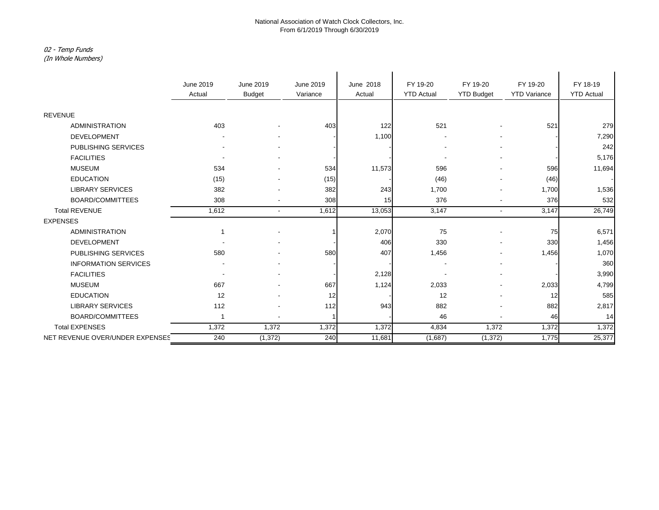# 02 - Temp Funds

(In Whole Numbers)

|                                 | June 2019                | June 2019                | June 2019 | June 2018 | FY 19-20          | FY 19-20          | FY 19-20            | FY 18-19          |
|---------------------------------|--------------------------|--------------------------|-----------|-----------|-------------------|-------------------|---------------------|-------------------|
|                                 | Actual                   | <b>Budget</b>            | Variance  | Actual    | <b>YTD Actual</b> | <b>YTD Budget</b> | <b>YTD Variance</b> | <b>YTD Actual</b> |
|                                 |                          |                          |           |           |                   |                   |                     |                   |
| <b>REVENUE</b>                  |                          |                          |           |           |                   |                   |                     |                   |
| <b>ADMINISTRATION</b>           | 403                      |                          | 403       | 122       | 521               |                   | 521                 | 279               |
| <b>DEVELOPMENT</b>              |                          |                          |           | 1,100     |                   |                   |                     | 7,290             |
| PUBLISHING SERVICES             |                          |                          |           |           |                   |                   |                     | 242               |
| <b>FACILITIES</b>               | $\overline{\phantom{a}}$ | $\overline{\phantom{a}}$ |           |           |                   |                   |                     | 5,176             |
| <b>MUSEUM</b>                   | 534                      |                          | 534       | 11,573    | 596               |                   | 596                 | 11,694            |
| <b>EDUCATION</b>                | (15)                     | -                        | (15)      |           | (46)              |                   | (46)                |                   |
| <b>LIBRARY SERVICES</b>         | 382                      |                          | 382       | 243       | 1,700             |                   | 1,700               | 1,536             |
| <b>BOARD/COMMITTEES</b>         | 308                      | $\overline{\phantom{0}}$ | 308       | 15        | 376               |                   | 376                 | 532               |
| <b>Total REVENUE</b>            | 1,612                    | $\blacksquare$           | 1,612     | 13,053    | 3,147             | $\sim$            | 3,147               | 26,749            |
| <b>EXPENSES</b>                 |                          |                          |           |           |                   |                   |                     |                   |
| <b>ADMINISTRATION</b>           | -1                       |                          |           | 2,070     | 75                |                   | 75                  | 6,571             |
| <b>DEVELOPMENT</b>              |                          |                          |           | 406       | 330               |                   | 330                 | 1,456             |
| <b>PUBLISHING SERVICES</b>      | 580                      |                          | 580       | 407       | 1,456             |                   | 1,456               | 1,070             |
| <b>INFORMATION SERVICES</b>     |                          |                          |           |           |                   |                   |                     | 360               |
| <b>FACILITIES</b>               | $\overline{\phantom{a}}$ | $\overline{\phantom{a}}$ |           | 2,128     |                   |                   |                     | 3,990             |
| <b>MUSEUM</b>                   | 667                      |                          | 667       | 1,124     | 2,033             |                   | 2,033               | 4,799             |
| <b>EDUCATION</b>                | 12                       |                          | 12        |           | 12                |                   | 12                  | 585               |
| <b>LIBRARY SERVICES</b>         | 112                      | $\overline{\phantom{0}}$ | 112       | 943       | 882               |                   | 882                 | 2,817             |
| BOARD/COMMITTEES                | 1                        | ٠                        |           |           | 46                |                   | 46                  | 14                |
| <b>Total EXPENSES</b>           | 1,372                    | 1,372                    | 1,372     | 1,372     | 4,834             | 1,372             | 1,372               | 1,372             |
| NET REVENUE OVER/UNDER EXPENSES | 240                      | (1, 372)                 | 240       | 11,681    | (1,687)           | (1, 372)          | 1,775               | 25,377            |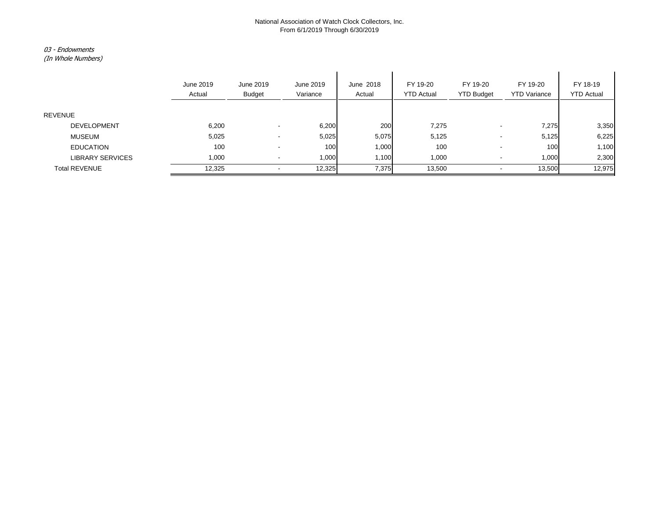### 03 - Endowments

(In Whole Numbers)

|                         | June 2019<br>Actual | June 2019<br><b>Budget</b> | June 2019<br>Variance | June 2018<br>Actual | FY 19-20<br><b>YTD Actual</b> | FY 19-20<br><b>YTD Budget</b> | FY 19-20<br><b>YTD Variance</b> | FY 18-19<br><b>YTD Actual</b> |
|-------------------------|---------------------|----------------------------|-----------------------|---------------------|-------------------------------|-------------------------------|---------------------------------|-------------------------------|
| <b>REVENUE</b>          |                     |                            |                       |                     |                               |                               |                                 |                               |
|                         |                     |                            |                       |                     |                               |                               |                                 |                               |
| <b>DEVELOPMENT</b>      | 6,200               |                            | 6,200                 | 200                 | 7,275                         | ۰.                            | 7,275                           | 3,350                         |
| <b>MUSEUM</b>           | 5,025               |                            | 5,025                 | 5,075               | 5,125                         | ۰                             | 5,125                           | 6,225                         |
| <b>EDUCATION</b>        | 100                 |                            | 100                   | 1,000               | 100                           | $\overline{\phantom{0}}$      | 100                             | 1,100                         |
| <b>LIBRARY SERVICES</b> | 1,000               |                            | 1,000                 | 1,100               | 1,000                         |                               | 1,000                           | 2,300                         |
| <b>Total REVENUE</b>    | 12,325              |                            | 12,325                | 7,375               | 13,500                        | ۰.                            | 13,500                          | 12,975                        |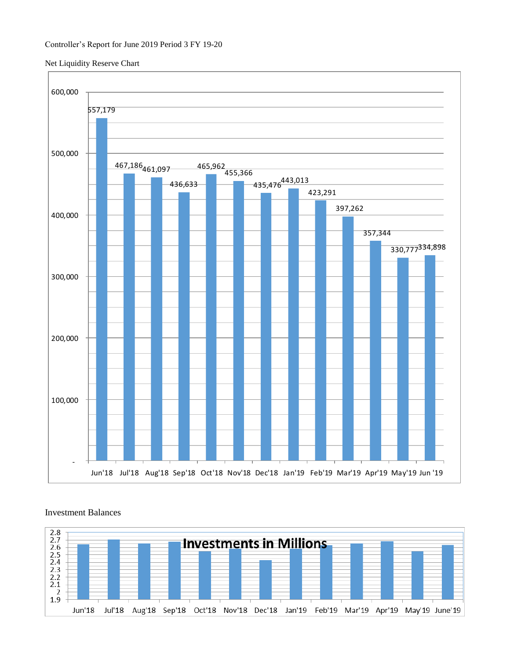### Net Liquidity Reserve Chart





# Investment Balances